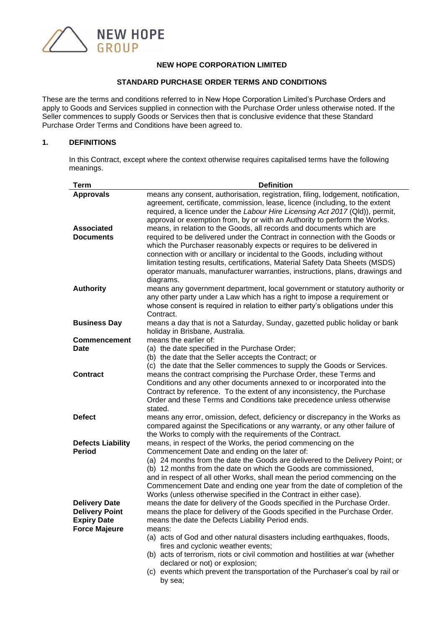

#### **NEW HOPE CORPORATION LIMITED**

#### **STANDARD PURCHASE ORDER TERMS AND CONDITIONS**

These are the terms and conditions referred to in New Hope Corporation Limited's Purchase Orders and apply to Goods and Services supplied in connection with the Purchase Order unless otherwise noted. If the Seller commences to supply Goods or Services then that is conclusive evidence that these Standard Purchase Order Terms and Conditions have been agreed to.

## **1. DEFINITIONS**

In this Contract, except where the context otherwise requires capitalised terms have the following meanings.

| Term                     | <b>Definition</b>                                                                                                |
|--------------------------|------------------------------------------------------------------------------------------------------------------|
| <b>Approvals</b>         | means any consent, authorisation, registration, filing, lodgement, notification,                                 |
|                          | agreement, certificate, commission, lease, licence (including, to the extent                                     |
|                          | required, a licence under the Labour Hire Licensing Act 2017 (Qld)), permit,                                     |
|                          | approval or exemption from, by or with an Authority to perform the Works.                                        |
| <b>Associated</b>        | means, in relation to the Goods, all records and documents which are                                             |
| <b>Documents</b>         | required to be delivered under the Contract in connection with the Goods or                                      |
|                          | which the Purchaser reasonably expects or requires to be delivered in                                            |
|                          | connection with or ancillary or incidental to the Goods, including without                                       |
|                          | limitation testing results, certifications, Material Safety Data Sheets (MSDS)                                   |
|                          | operator manuals, manufacturer warranties, instructions, plans, drawings and                                     |
|                          | diagrams.                                                                                                        |
| <b>Authority</b>         | means any government department, local government or statutory authority or                                      |
|                          | any other party under a Law which has a right to impose a requirement or                                         |
|                          | whose consent is required in relation to either party's obligations under this                                   |
|                          | Contract.                                                                                                        |
| <b>Business Day</b>      | means a day that is not a Saturday, Sunday, gazetted public holiday or bank                                      |
|                          | holiday in Brisbane, Australia.                                                                                  |
| <b>Commencement</b>      | means the earlier of:                                                                                            |
| <b>Date</b>              | (a) the date specified in the Purchase Order;                                                                    |
|                          | (b) the date that the Seller accepts the Contract; or                                                            |
|                          | (c) the date that the Seller commences to supply the Goods or Services.                                          |
| <b>Contract</b>          | means the contract comprising the Purchase Order, these Terms and                                                |
|                          | Conditions and any other documents annexed to or incorporated into the                                           |
|                          | Contract by reference. To the extent of any inconsistency, the Purchase                                          |
|                          | Order and these Terms and Conditions take precedence unless otherwise                                            |
|                          | stated.                                                                                                          |
| <b>Defect</b>            | means any error, omission, defect, deficiency or discrepancy in the Works as                                     |
|                          | compared against the Specifications or any warranty, or any other failure of                                     |
|                          | the Works to comply with the requirements of the Contract.                                                       |
| <b>Defects Liability</b> | means, in respect of the Works, the period commencing on the                                                     |
| <b>Period</b>            | Commencement Date and ending on the later of:                                                                    |
|                          | (a) 24 months from the date the Goods are delivered to the Delivery Point; or                                    |
|                          | (b) 12 months from the date on which the Goods are commissioned,                                                 |
|                          | and in respect of all other Works, shall mean the period commencing on the                                       |
|                          | Commencement Date and ending one year from the date of completion of the                                         |
|                          | Works (unless otherwise specified in the Contract in either case).                                               |
| <b>Delivery Date</b>     | means the date for delivery of the Goods specified in the Purchase Order.                                        |
| <b>Delivery Point</b>    | means the place for delivery of the Goods specified in the Purchase Order.                                       |
| <b>Expiry Date</b>       | means the date the Defects Liability Period ends.                                                                |
| <b>Force Majeure</b>     | means:                                                                                                           |
|                          | (a) acts of God and other natural disasters including earthquakes, floods,<br>fires and cyclonic weather events; |
|                          | (b) acts of terrorism, riots or civil commotion and hostilities at war (whether                                  |
|                          | declared or not) or explosion;                                                                                   |
|                          | (c) events which prevent the transportation of the Purchaser's coal by rail or                                   |
|                          | by sea;                                                                                                          |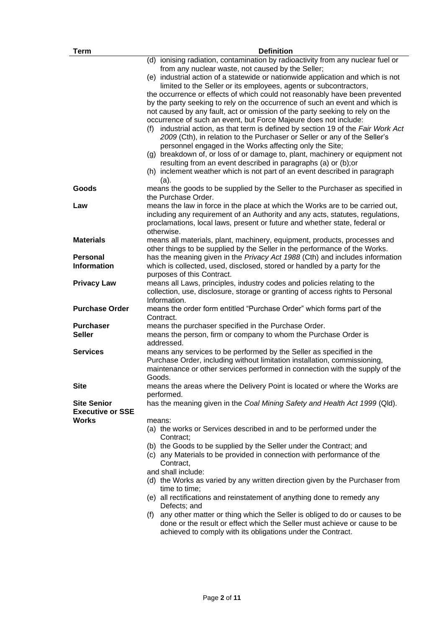| <b>Term</b>             | <b>Definition</b>                                                                                                                                          |
|-------------------------|------------------------------------------------------------------------------------------------------------------------------------------------------------|
|                         | (d) ionising radiation, contamination by radioactivity from any nuclear fuel or                                                                            |
|                         | from any nuclear waste, not caused by the Seller;                                                                                                          |
|                         | (e) industrial action of a statewide or nationwide application and which is not                                                                            |
|                         | limited to the Seller or its employees, agents or subcontractors,                                                                                          |
|                         | the occurrence or effects of which could not reasonably have been prevented                                                                                |
|                         | by the party seeking to rely on the occurrence of such an event and which is                                                                               |
|                         | not caused by any fault, act or omission of the party seeking to rely on the                                                                               |
|                         | occurrence of such an event, but Force Majeure does not include:                                                                                           |
|                         | (f) industrial action, as that term is defined by section 19 of the Fair Work Act                                                                          |
|                         | 2009 (Cth), in relation to the Purchaser or Seller or any of the Seller's                                                                                  |
|                         | personnel engaged in the Works affecting only the Site;                                                                                                    |
|                         | (g) breakdown of, or loss of or damage to, plant, machinery or equipment not                                                                               |
|                         | resulting from an event described in paragraphs (a) or (b); or                                                                                             |
|                         | (h) inclement weather which is not part of an event described in paragraph                                                                                 |
|                         | (a).                                                                                                                                                       |
| Goods                   | means the goods to be supplied by the Seller to the Purchaser as specified in                                                                              |
|                         | the Purchase Order.                                                                                                                                        |
| Law                     | means the law in force in the place at which the Works are to be carried out,                                                                              |
|                         | including any requirement of an Authority and any acts, statutes, regulations,                                                                             |
|                         | proclamations, local laws, present or future and whether state, federal or                                                                                 |
|                         | otherwise.                                                                                                                                                 |
| <b>Materials</b>        | means all materials, plant, machinery, equipment, products, processes and                                                                                  |
| <b>Personal</b>         | other things to be supplied by the Seller in the performance of the Works.<br>has the meaning given in the Privacy Act 1988 (Cth) and includes information |
| <b>Information</b>      | which is collected, used, disclosed, stored or handled by a party for the                                                                                  |
|                         | purposes of this Contract.                                                                                                                                 |
| <b>Privacy Law</b>      | means all Laws, principles, industry codes and policies relating to the                                                                                    |
|                         | collection, use, disclosure, storage or granting of access rights to Personal                                                                              |
|                         | Information.                                                                                                                                               |
| <b>Purchase Order</b>   | means the order form entitled "Purchase Order" which forms part of the                                                                                     |
|                         | Contract.                                                                                                                                                  |
| <b>Purchaser</b>        | means the purchaser specified in the Purchase Order.                                                                                                       |
| <b>Seller</b>           | means the person, firm or company to whom the Purchase Order is                                                                                            |
|                         | addressed.                                                                                                                                                 |
| <b>Services</b>         | means any services to be performed by the Seller as specified in the                                                                                       |
|                         | Purchase Order, including without limitation installation, commissioning,                                                                                  |
|                         | maintenance or other services performed in connection with the supply of the                                                                               |
|                         | Goods.                                                                                                                                                     |
| Site                    | means the areas where the Delivery Point is located or where the Works are                                                                                 |
|                         | performed.                                                                                                                                                 |
| <b>Site Senior</b>      | has the meaning given in the Coal Mining Safety and Health Act 1999 (Qld).                                                                                 |
| <b>Executive or SSE</b> |                                                                                                                                                            |
| <b>Works</b>            | means:                                                                                                                                                     |
|                         | (a) the works or Services described in and to be performed under the                                                                                       |
|                         | Contract;                                                                                                                                                  |
|                         | (b) the Goods to be supplied by the Seller under the Contract; and                                                                                         |
|                         | (c) any Materials to be provided in connection with performance of the                                                                                     |
|                         | Contract,<br>and shall include:                                                                                                                            |
|                         | (d) the Works as varied by any written direction given by the Purchaser from                                                                               |
|                         | time to time:                                                                                                                                              |
|                         | (e) all rectifications and reinstatement of anything done to remedy any                                                                                    |
|                         | Defects; and                                                                                                                                               |
|                         | any other matter or thing which the Seller is obliged to do or causes to be<br>(f)                                                                         |
|                         | done or the result or effect which the Seller must achieve or cause to be                                                                                  |
|                         | achieved to comply with its obligations under the Contract.                                                                                                |
|                         |                                                                                                                                                            |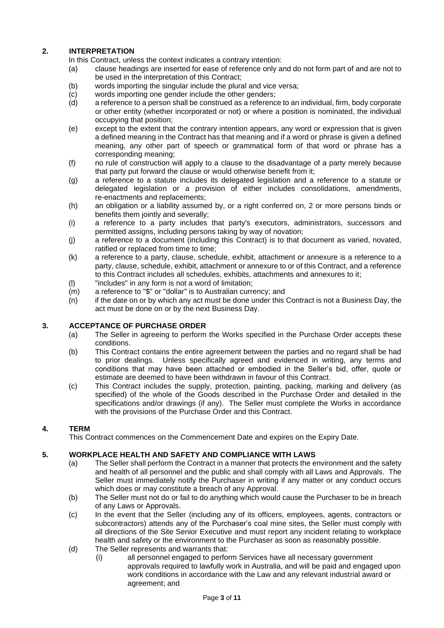# **2. INTERPRETATION**

In this Contract, unless the context indicates a contrary intention:

- (a) clause headings are inserted for ease of reference only and do not form part of and are not to be used in the interpretation of this Contract;
- (b) words importing the singular include the plural and vice versa;
- (c) words importing one gender include the other genders;
- (d) a reference to a person shall be construed as a reference to an individual, firm, body corporate or other entity (whether incorporated or not) or where a position is nominated, the individual occupying that position;
- (e) except to the extent that the contrary intention appears, any word or expression that is given a defined meaning in the Contract has that meaning and if a word or phrase is given a defined meaning, any other part of speech or grammatical form of that word or phrase has a corresponding meaning;
- (f) no rule of construction will apply to a clause to the disadvantage of a party merely because that party put forward the clause or would otherwise benefit from it;
- (g) a reference to a statute includes its delegated legislation and a reference to a statute or delegated legislation or a provision of either includes consolidations, amendments, re-enactments and replacements;
- (h) an obligation or a liability assumed by, or a right conferred on, 2 or more persons binds or benefits them jointly and severally;
- (i) a reference to a party includes that party's executors, administrators, successors and permitted assigns, including persons taking by way of novation;
- (j) a reference to a document (including this Contract) is to that document as varied, novated, ratified or replaced from time to time;
- (k) a reference to a party, clause, schedule, exhibit, attachment or annexure is a reference to a party, clause, schedule, exhibit, attachment or annexure to or of this Contract, and a reference to this Contract includes all schedules, exhibits, attachments and annexures to it;
- (l) "includes" in any form is not a word of limitation;
- (m) a reference to "\$" or "dollar" is to Australian currency; and
- (n) if the date on or by which any act must be done under this Contract is not a Business Day, the act must be done on or by the next Business Day.

### **3. ACCEPTANCE OF PURCHASE ORDER**

- (a) The Seller in agreeing to perform the Works specified in the Purchase Order accepts these conditions.
- (b) This Contract contains the entire agreement between the parties and no regard shall be had to prior dealings. Unless specifically agreed and evidenced in writing, any terms and conditions that may have been attached or embodied in the Seller's bid, offer, quote or estimate are deemed to have been withdrawn in favour of this Contract.
- (c) This Contract includes the supply, protection, painting, packing, marking and delivery (as specified) of the whole of the Goods described in the Purchase Order and detailed in the specifications and/or drawings (if any). The Seller must complete the Works in accordance with the provisions of the Purchase Order and this Contract.

#### **4. TERM**

This Contract commences on the Commencement Date and expires on the Expiry Date.

#### **5. WORKPLACE HEALTH AND SAFETY AND COMPLIANCE WITH LAWS**

- (a) The Seller shall perform the Contract in a manner that protects the environment and the safety and health of all personnel and the public and shall comply with all Laws and Approvals. The Seller must immediately notify the Purchaser in writing if any matter or any conduct occurs which does or may constitute a breach of any Approval.
- (b) The Seller must not do or fail to do anything which would cause the Purchaser to be in breach of any Laws or Approvals.
- (c) In the event that the Seller (including any of its officers, employees, agents, contractors or subcontractors) attends any of the Purchaser's coal mine sites, the Seller must comply with all directions of the Site Senior Executive and must report any incident relating to workplace health and safety or the environment to the Purchaser as soon as reasonably possible.
- (d) The Seller represents and warrants that:
	- (i) all personnel engaged to perform Services have all necessary government approvals required to lawfully work in Australia, and will be paid and engaged upon work conditions in accordance with the Law and any relevant industrial award or agreement; and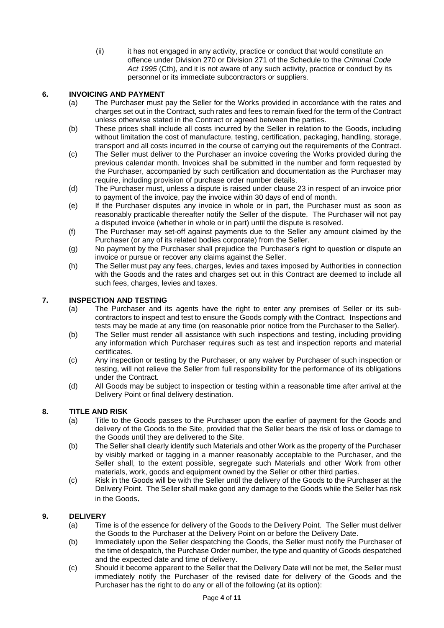(ii) it has not engaged in any activity, practice or conduct that would constitute an offence under Division 270 or Division 271 of the Schedule to the *Criminal Code Act 1995* (Cth), and it is not aware of any such activity, practice or conduct by its personnel or its immediate subcontractors or suppliers.

## **6. INVOICING AND PAYMENT**

- (a) The Purchaser must pay the Seller for the Works provided in accordance with the rates and charges set out in the Contract, such rates and fees to remain fixed for the term of the Contract unless otherwise stated in the Contract or agreed between the parties.
- (b) These prices shall include all costs incurred by the Seller in relation to the Goods, including without limitation the cost of manufacture, testing, certification, packaging, handling, storage, transport and all costs incurred in the course of carrying out the requirements of the Contract.
- (c) The Seller must deliver to the Purchaser an invoice covering the Works provided during the previous calendar month. Invoices shall be submitted in the number and form requested by the Purchaser, accompanied by such certification and documentation as the Purchaser may require, including provision of purchase order number details.
- (d) The Purchaser must, unless a dispute is raised under clause [23](#page-9-0) in respect of an invoice prior to payment of the invoice, pay the invoice within 30 days of end of month.
- (e) If the Purchaser disputes any invoice in whole or in part, the Purchaser must as soon as reasonably practicable thereafter notify the Seller of the dispute. The Purchaser will not pay a disputed invoice (whether in whole or in part) until the dispute is resolved.
- (f) The Purchaser may set-off against payments due to the Seller any amount claimed by the Purchaser (or any of its related bodies corporate) from the Seller.
- (g) No payment by the Purchaser shall prejudice the Purchaser's right to question or dispute an invoice or pursue or recover any claims against the Seller.
- (h) The Seller must pay any fees, charges, levies and taxes imposed by Authorities in connection with the Goods and the rates and charges set out in this Contract are deemed to include all such fees, charges, levies and taxes.

## **7. INSPECTION AND TESTING**

- (a) The Purchaser and its agents have the right to enter any premises of Seller or its subcontractors to inspect and test to ensure the Goods comply with the Contract. Inspections and tests may be made at any time (on reasonable prior notice from the Purchaser to the Seller).
- (b) The Seller must render all assistance with such inspections and testing, including providing any information which Purchaser requires such as test and inspection reports and material certificates.
- (c) Any inspection or testing by the Purchaser, or any waiver by Purchaser of such inspection or testing, will not relieve the Seller from full responsibility for the performance of its obligations under the Contract.
- (d) All Goods may be subject to inspection or testing within a reasonable time after arrival at the Delivery Point or final delivery destination.

# **8. TITLE AND RISK**

- (a) Title to the Goods passes to the Purchaser upon the earlier of payment for the Goods and delivery of the Goods to the Site, provided that the Seller bears the risk of loss or damage to the Goods until they are delivered to the Site.
- (b) The Seller shall clearly identify such Materials and other Work as the property of the Purchaser by visibly marked or tagging in a manner reasonably acceptable to the Purchaser, and the Seller shall, to the extent possible, segregate such Materials and other Work from other materials, work, goods and equipment owned by the Seller or other third parties.
- (c) Risk in the Goods will be with the Seller until the delivery of the Goods to the Purchaser at the Delivery Point. The Seller shall make good any damage to the Goods while the Seller has risk in the Goods.

# **9. DELIVERY**

- (a) Time is of the essence for delivery of the Goods to the Delivery Point. The Seller must deliver the Goods to the Purchaser at the Delivery Point on or before the Delivery Date.
- (b) Immediately upon the Seller despatching the Goods, the Seller must notify the Purchaser of the time of despatch, the Purchase Order number, the type and quantity of Goods despatched and the expected date and time of delivery.
- (c) Should it become apparent to the Seller that the Delivery Date will not be met, the Seller must immediately notify the Purchaser of the revised date for delivery of the Goods and the Purchaser has the right to do any or all of the following (at its option):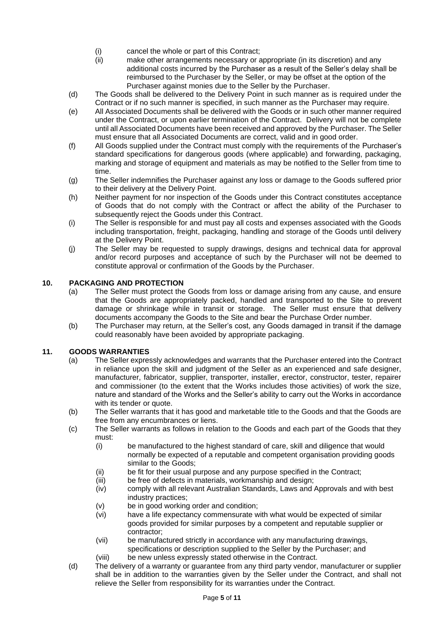- (i) cancel the whole or part of this Contract;
- (ii) make other arrangements necessary or appropriate (in its discretion) and any additional costs incurred by the Purchaser as a result of the Seller's delay shall be reimbursed to the Purchaser by the Seller, or may be offset at the option of the Purchaser against monies due to the Seller by the Purchaser.
- (d) The Goods shall be delivered to the Delivery Point in such manner as is required under the Contract or if no such manner is specified, in such manner as the Purchaser may require.
- (e) All Associated Documents shall be delivered with the Goods or in such other manner required under the Contract, or upon earlier termination of the Contract. Delivery will not be complete until all Associated Documents have been received and approved by the Purchaser. The Seller must ensure that all Associated Documents are correct, valid and in good order.
- (f) All Goods supplied under the Contract must comply with the requirements of the Purchaser's standard specifications for dangerous goods (where applicable) and forwarding, packaging, marking and storage of equipment and materials as may be notified to the Seller from time to time.
- (g) The Seller indemnifies the Purchaser against any loss or damage to the Goods suffered prior to their delivery at the Delivery Point.
- (h) Neither payment for nor inspection of the Goods under this Contract constitutes acceptance of Goods that do not comply with the Contract or affect the ability of the Purchaser to subsequently reject the Goods under this Contract.
- (i) The Seller is responsible for and must pay all costs and expenses associated with the Goods including transportation, freight, packaging, handling and storage of the Goods until delivery at the Delivery Point.
- (j) The Seller may be requested to supply drawings, designs and technical data for approval and/or record purposes and acceptance of such by the Purchaser will not be deemed to constitute approval or confirmation of the Goods by the Purchaser.

# **10. PACKAGING AND PROTECTION**

- (a) The Seller must protect the Goods from loss or damage arising from any cause, and ensure that the Goods are appropriately packed, handled and transported to the Site to prevent damage or shrinkage while in transit or storage. The Seller must ensure that delivery documents accompany the Goods to the Site and bear the Purchase Order number.
- (b) The Purchaser may return, at the Seller's cost, any Goods damaged in transit if the damage could reasonably have been avoided by appropriate packaging.

#### **11. GOODS WARRANTIES**

- (a) The Seller expressly acknowledges and warrants that the Purchaser entered into the Contract in reliance upon the skill and judgment of the Seller as an experienced and safe designer, manufacturer, fabricator, supplier, transporter, installer, erector, constructor, tester, repairer and commissioner (to the extent that the Works includes those activities) of work the size, nature and standard of the Works and the Seller's ability to carry out the Works in accordance with its tender or quote.
- (b) The Seller warrants that it has good and marketable title to the Goods and that the Goods are free from any encumbrances or liens.
- (c) The Seller warrants as follows in relation to the Goods and each part of the Goods that they must:
	- (i) be manufactured to the highest standard of care, skill and diligence that would normally be expected of a reputable and competent organisation providing goods similar to the Goods;
	- (ii) be fit for their usual purpose and any purpose specified in the Contract;
	- (iii) be free of defects in materials, workmanship and design;
	- (iv) comply with all relevant Australian Standards, Laws and Approvals and with best industry practices;
	- (v) be in good working order and condition;
	- (vi) have a life expectancy commensurate with what would be expected of similar goods provided for similar purposes by a competent and reputable supplier or contractor;
	- (vii) be manufactured strictly in accordance with any manufacturing drawings, specifications or description supplied to the Seller by the Purchaser; and
	- (viii) be new unless expressly stated otherwise in the Contract.
- (d) The delivery of a warranty or guarantee from any third party vendor, manufacturer or supplier shall be in addition to the warranties given by the Seller under the Contract, and shall not relieve the Seller from responsibility for its warranties under the Contract.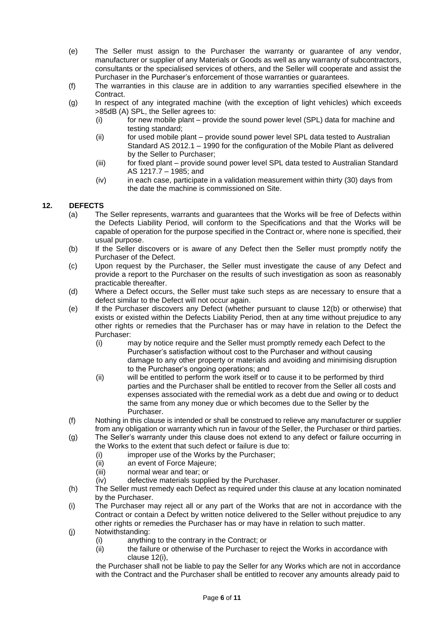- (e) The Seller must assign to the Purchaser the warranty or guarantee of any vendor, manufacturer or supplier of any Materials or Goods as well as any warranty of subcontractors, consultants or the specialised services of others, and the Seller will cooperate and assist the Purchaser in the Purchaser's enforcement of those warranties or guarantees.
- (f) The warranties in this clause are in addition to any warranties specified elsewhere in the Contract.
- (g) In respect of any integrated machine (with the exception of light vehicles) which exceeds >85dB (A) SPL, the Seller agrees to:
	- (i) for new mobile plant provide the sound power level (SPL) data for machine and testing standard;
	- (ii) for used mobile plant provide sound power level SPL data tested to Australian Standard AS  $2012.1 - 1990$  for the configuration of the Mobile Plant as delivered by the Seller to Purchaser;
	- (iii) for fixed plant provide sound power level SPL data tested to Australian Standard AS 1217.7 – 1985; and
	- (iv) in each case, participate in a validation measurement within thirty (30) days from the date the machine is commissioned on Site.

## <span id="page-5-0"></span>**12. DEFECTS**

- (a) The Seller represents, warrants and guarantees that the Works will be free of Defects within the Defects Liability Period, will conform to the Specifications and that the Works will be capable of operation for the purpose specified in the Contract or, where none is specified, their usual purpose.
- <span id="page-5-1"></span>(b) If the Seller discovers or is aware of any Defect then the Seller must promptly notify the Purchaser of the Defect.
- (c) Upon request by the Purchaser, the Seller must investigate the cause of any Defect and provide a report to the Purchaser on the results of such investigation as soon as reasonably practicable thereafter.
- (d) Where a Defect occurs, the Seller must take such steps as are necessary to ensure that a defect similar to the Defect will not occur again.
- (e) If the Purchaser discovers any Defect (whether pursuant to clause [12](#page-5-0)[\(b\)](#page-5-1) or otherwise) that exists or existed within the Defects Liability Period, then at any time without prejudice to any other rights or remedies that the Purchaser has or may have in relation to the Defect the Purchaser:
	- (i) may by notice require and the Seller must promptly remedy each Defect to the Purchaser's satisfaction without cost to the Purchaser and without causing damage to any other property or materials and avoiding and minimising disruption to the Purchaser's ongoing operations; and
	- (ii) will be entitled to perform the work itself or to cause it to be performed by third parties and the Purchaser shall be entitled to recover from the Seller all costs and expenses associated with the remedial work as a debt due and owing or to deduct the same from any money due or which becomes due to the Seller by the Purchaser.
- (f) Nothing in this clause is intended or shall be construed to relieve any manufacturer or supplier from any obligation or warranty which run in favour of the Seller, the Purchaser or third parties.
- (g) The Seller's warranty under this clause does not extend to any defect or failure occurring in the Works to the extent that such defect or failure is due to:
	- (i) improper use of the Works by the Purchaser;
	- (ii) an event of Force Majeure;
	- (iii) normal wear and tear; or
	- (iv) defective materials supplied by the Purchaser.
- (h) The Seller must remedy each Defect as required under this clause at any location nominated by the Purchaser.
- <span id="page-5-2"></span>(i) The Purchaser may reject all or any part of the Works that are not in accordance with the Contract or contain a Defect by written notice delivered to the Seller without prejudice to any other rights or remedies the Purchaser has or may have in relation to such matter.
- (j) Notwithstanding:
	- (i) anything to the contrary in the Contract; or
	- (ii) the failure or otherwise of the Purchaser to reject the Works in accordance with clause [12](#page-5-0)[\(i\),](#page-5-2)

the Purchaser shall not be liable to pay the Seller for any Works which are not in accordance with the Contract and the Purchaser shall be entitled to recover any amounts already paid to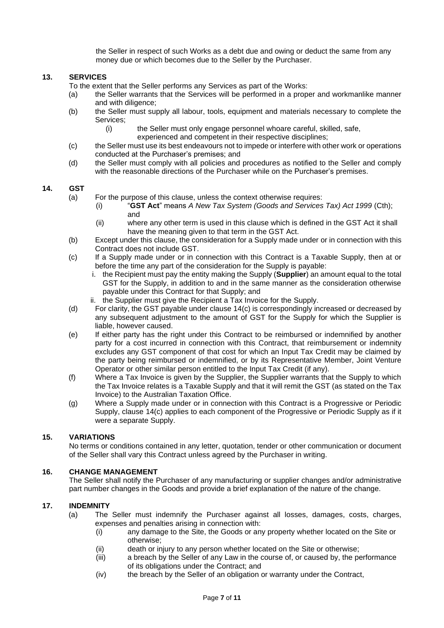the Seller in respect of such Works as a debt due and owing or deduct the same from any money due or which becomes due to the Seller by the Purchaser.

#### **13. SERVICES**

- To the extent that the Seller performs any Services as part of the Works:
- (a) the Seller warrants that the Services will be performed in a proper and workmanlike manner and with diligence;
- (b) the Seller must supply all labour, tools, equipment and materials necessary to complete the Services;
	- (i) the Seller must only engage personnel whoare careful, skilled, safe,
		- experienced and competent in their respective disciplines;
- (c) the Seller must use its best endeavours not to impede or interfere with other work or operations conducted at the Purchaser's premises; and
- (d) the Seller must comply with all policies and procedures as notified to the Seller and comply with the reasonable directions of the Purchaser while on the Purchaser's premises.

#### <span id="page-6-0"></span>**14. GST**

- (a) For the purpose of this clause, unless the context otherwise requires:
	- (i) "**GST Act**" means *A New Tax System (Goods and Services Tax) Act 1999* (Cth); and
	- (ii) where any other term is used in this clause which is defined in the GST Act it shall have the meaning given to that term in the GST Act.
- (b) Except under this clause, the consideration for a Supply made under or in connection with this Contract does not include GST.
- <span id="page-6-1"></span>(c) If a Supply made under or in connection with this Contract is a Taxable Supply, then at or before the time any part of the consideration for the Supply is payable:
	- i. the Recipient must pay the entity making the Supply (**Supplier**) an amount equal to the total GST for the Supply, in addition to and in the same manner as the consideration otherwise payable under this Contract for that Supply; and
	- ii. the Supplier must give the Recipient a Tax Invoice for the Supply.
- (d) For clarity, the GST payable under clause [14](#page-6-0)[\(c\)](#page-6-1) is correspondingly increased or decreased by any subsequent adjustment to the amount of GST for the Supply for which the Supplier is liable, however caused.
- (e) If either party has the right under this Contract to be reimbursed or indemnified by another party for a cost incurred in connection with this Contract, that reimbursement or indemnity excludes any GST component of that cost for which an Input Tax Credit may be claimed by the party being reimbursed or indemnified, or by its Representative Member, Joint Venture Operator or other similar person entitled to the Input Tax Credit (if any).
- (f) Where a Tax Invoice is given by the Supplier, the Supplier warrants that the Supply to which the Tax Invoice relates is a Taxable Supply and that it will remit the GST (as stated on the Tax Invoice) to the Australian Taxation Office.
- (g) Where a Supply made under or in connection with this Contract is a Progressive or Periodic Supply, clause [14](#page-6-0)[\(c\)](#page-6-1) applies to each component of the Progressive or Periodic Supply as if it were a separate Supply.

#### **15. VARIATIONS**

No terms or conditions contained in any letter, quotation, tender or other communication or document of the Seller shall vary this Contract unless agreed by the Purchaser in writing.

#### **16. CHANGE MANAGEMENT**

The Seller shall notify the Purchaser of any manufacturing or supplier changes and/or administrative part number changes in the Goods and provide a brief explanation of the nature of the change.

### **17. INDEMNITY**

- (a) The Seller must indemnify the Purchaser against all losses, damages, costs, charges, expenses and penalties arising in connection with:
	- (i) any damage to the Site, the Goods or any property whether located on the Site or otherwise;
	- (ii) death or injury to any person whether located on the Site or otherwise;
	- (iii) a breach by the Seller of any Law in the course of, or caused by, the performance of its obligations under the Contract; and
	- (iv) the breach by the Seller of an obligation or warranty under the Contract,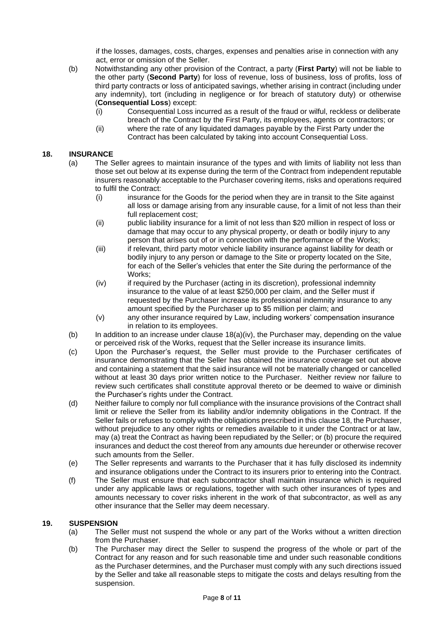if the losses, damages, costs, charges, expenses and penalties arise in connection with any act, error or omission of the Seller.

- (b) Notwithstanding any other provision of the Contract, a party (**First Party**) will not be liable to the other party (**Second Party**) for loss of revenue, loss of business, loss of profits, loss of third party contracts or loss of anticipated savings, whether arising in contract (including under any indemnity), tort (including in negligence or for breach of statutory duty) or otherwise (**Consequential Loss**) except:
	- (i) Consequential Loss incurred as a result of the fraud or wilful, reckless or deliberate breach of the Contract by the First Party, its employees, agents or contractors; or
	- (ii) where the rate of any liquidated damages payable by the First Party under the Contract has been calculated by taking into account Consequential Loss.

# <span id="page-7-1"></span><span id="page-7-0"></span>**18. INSURANCE**

- (a) The Seller agrees to maintain insurance of the types and with limits of liability not less than those set out below at its expense during the term of the Contract from independent reputable insurers reasonably acceptable to the Purchaser covering items, risks and operations required to fulfil the Contract:
	- (i) insurance for the Goods for the period when they are in transit to the Site against all loss or damage arising from any insurable cause, for a limit of not less than their full replacement cost;
	- (ii) public liability insurance for a limit of not less than \$20 million in respect of loss or damage that may occur to any physical property, or death or bodily injury to any person that arises out of or in connection with the performance of the Works;
	- (iii) if relevant, third party motor vehicle liability insurance against liability for death or bodily injury to any person or damage to the Site or property located on the Site, for each of the Seller's vehicles that enter the Site during the performance of the Works;
	- (iv) if required by the Purchaser (acting in its discretion), professional indemnity insurance to the value of at least \$250,000 per claim, and the Seller must if requested by the Purchaser increase its professional indemnity insurance to any amount specified by the Purchaser up to \$5 million per claim; and
	- (v) any other insurance required by Law, including workers' compensation insurance in relation to its employees.
- <span id="page-7-2"></span>(b) In addition to an increase under clause  $18(a)(iv)$  $18(a)(iv)$  $18(a)(iv)$ , the Purchaser may, depending on the value or perceived risk of the Works, request that the Seller increase its insurance limits.
- (c) Upon the Purchaser's request, the Seller must provide to the Purchaser certificates of insurance demonstrating that the Seller has obtained the insurance coverage set out above and containing a statement that the said insurance will not be materially changed or cancelled without at least 30 days prior written notice to the Purchaser. Neither review nor failure to review such certificates shall constitute approval thereto or be deemed to waive or diminish the Purchaser's rights under the Contract.
- (d) Neither failure to comply nor full compliance with the insurance provisions of the Contract shall limit or relieve the Seller from its liability and/or indemnity obligations in the Contract. If the Seller fails or refuses to comply with the obligations prescribed in this claus[e 18,](#page-7-0) the Purchaser, without prejudice to any other rights or remedies available to it under the Contract or at law, may (a) treat the Contract as having been repudiated by the Seller; or (b) procure the required insurances and deduct the cost thereof from any amounts due hereunder or otherwise recover such amounts from the Seller.
- (e) The Seller represents and warrants to the Purchaser that it has fully disclosed its indemnity and insurance obligations under the Contract to its insurers prior to entering into the Contract.
- (f) The Seller must ensure that each subcontractor shall maintain insurance which is required under any applicable laws or regulations, together with such other insurances of types and amounts necessary to cover risks inherent in the work of that subcontractor, as well as any other insurance that the Seller may deem necessary.

#### **19. SUSPENSION**

- (a) The Seller must not suspend the whole or any part of the Works without a written direction from the Purchaser.
- (b) The Purchaser may direct the Seller to suspend the progress of the whole or part of the Contract for any reason and for such reasonable time and under such reasonable conditions as the Purchaser determines, and the Purchaser must comply with any such directions issued by the Seller and take all reasonable steps to mitigate the costs and delays resulting from the suspension.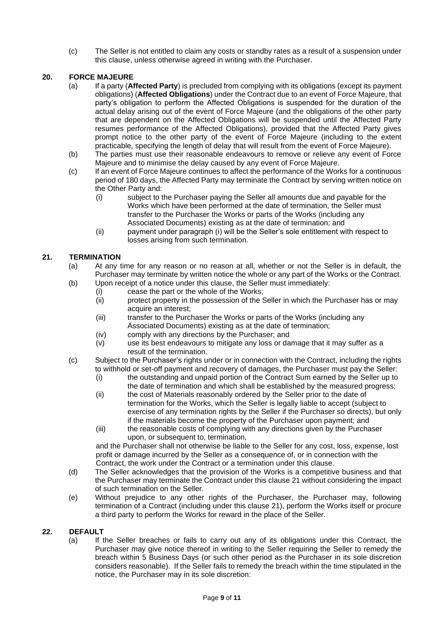(c) The Seller is not entitled to claim any costs or standby rates as a result of a suspension under this clause, unless otherwise agreed in writing with the Purchaser.

# **20. FORCE MAJEURE**

- (a) If a party (**Affected Party**) is precluded from complying with its obligations (except its payment obligations) (**Affected Obligations**) under the Contract due to an event of Force Majeure, that party's obligation to perform the Affected Obligations is suspended for the duration of the actual delay arising out of the event of Force Majeure (and the obligations of the other party that are dependent on the Affected Obligations will be suspended until the Affected Party resumes performance of the Affected Obligations), provided that the Affected Party gives prompt notice to the other party of the event of Force Majeure (including to the extent practicable, specifying the length of delay that will result from the event of Force Majeure).
- (b) The parties must use their reasonable endeavours to remove or relieve any event of Force Majeure and to minimise the delay caused by any event of Force Majeure.
- (c) If an event of Force Majeure continues to affect the performance of the Works for a continuous period of 180 days, the Affected Party may terminate the Contract by serving written notice on the Other Party and:
	- (i) subject to the Purchaser paying the Seller all amounts due and payable for the Works which have been performed at the date of termination, the Seller must transfer to the Purchaser the Works or parts of the Works (including any Associated Documents) existing as at the date of termination; and
	- (ii) payment under paragraph (i) will be the Seller's sole entitlement with respect to losses arising from such termination.

## <span id="page-8-1"></span><span id="page-8-0"></span>**21. TERMINATION**

- (a) At any time for any reason or no reason at all, whether or not the Seller is in default, the Purchaser may terminate by written notice the whole or any part of the Works or the Contract.
- (b) Upon receipt of a notice under this clause, the Seller must immediately:
	- (i) cease the part or the whole of the Works;<br>(ii) protect property in the possession of the S
	- protect property in the possession of the Seller in which the Purchaser has or may acquire an interest;
	- (iii) transfer to the Purchaser the Works or parts of the Works (including any Associated Documents) existing as at the date of termination;
	- (iv) comply with any directions by the Purchaser; and
	- (v) use its best endeavours to mitigate any loss or damage that it may suffer as a result of the termination.
- <span id="page-8-2"></span>(c) Subject to the Purchaser's rights under or in connection with the Contract, including the rights to withhold or set-off payment and recovery of damages, the Purchaser must pay the Seller:
	- (i) the outstanding and unpaid portion of the Contract Sum earned by the Seller up to the date of termination and which shall be established by the measured progress;
	- (ii) the cost of Materials reasonably ordered by the Seller prior to the date of termination for the Works, which the Seller is legally liable to accept (subject to exercise of any termination rights by the Seller if the Purchaser so directs), but only if the materials become the property of the Purchaser upon payment; and
	- (iii) the reasonable costs of complying with any directions given by the Purchaser upon, or subsequent to, termination.

and the Purchaser shall not otherwise be liable to the Seller for any cost, loss, expense, lost profit or damage incurred by the Seller as a consequence of, or in connection with the Contract, the work under the Contract or a termination under this clause.

- (d) The Seller acknowledges that the provision of the Works is a competitive business and that the Purchaser may terminate the Contract under this clause [21](#page-8-0) without considering the impact of such termination on the Seller.
- (e) Without prejudice to any other rights of the Purchaser, the Purchaser may, following termination of a Contract (including under this clause [21\)](#page-8-0), perform the Works itself or procure a third party to perform the Works for reward in the place of the Seller.

#### <span id="page-8-3"></span>**22. DEFAULT**

(a) If the Seller breaches or fails to carry out any of its obligations under this Contract, the Purchaser may give notice thereof in writing to the Seller requiring the Seller to remedy the breach within 5 Business Days (or such other period as the Purchaser in its sole discretion considers reasonable). If the Seller fails to remedy the breach within the time stipulated in the notice, the Purchaser may in its sole discretion: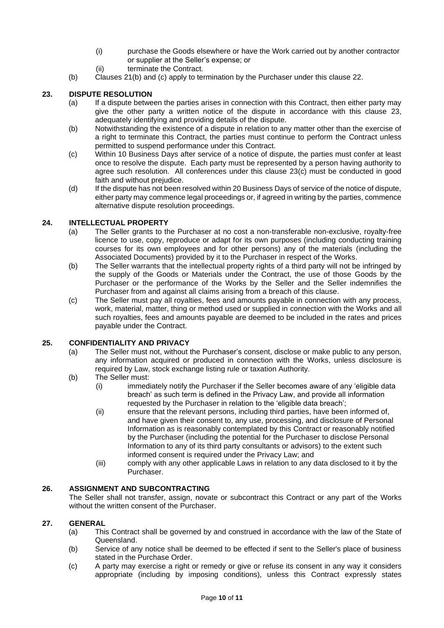- (i) purchase the Goods elsewhere or have the Work carried out by another contractor or supplier at the Seller's expense; or
- (ii) terminate the Contract.
- (b) Clauses [21](#page-8-0)[\(b\)](#page-8-1) and [\(c\)](#page-8-2) apply to termination by the Purchaser under this clause [22.](#page-8-3)

### <span id="page-9-0"></span>**23. DISPUTE RESOLUTION**

- (a) If a dispute between the parties arises in connection with this Contract, then either party may give the other party a written notice of the dispute in accordance with this clause [23,](#page-9-0) adequately identifying and providing details of the dispute.
- (b) Notwithstanding the existence of a dispute in relation to any matter other than the exercise of a right to terminate this Contract, the parties must continue to perform the Contract unless permitted to suspend performance under this Contract.
- <span id="page-9-1"></span>(c) Within 10 Business Days after service of a notice of dispute, the parties must confer at least once to resolve the dispute. Each party must be represented by a person having authority to agree such resolution. All conferences under this clause [23](#page-9-0)[\(c\)](#page-9-1) must be conducted in good faith and without prejudice.
- (d) If the dispute has not been resolved within 20 Business Days of service of the notice of dispute, either party may commence legal proceedings or, if agreed in writing by the parties, commence alternative dispute resolution proceedings.

#### <span id="page-9-2"></span>**24. INTELLECTUAL PROPERTY**

- (a) The Seller grants to the Purchaser at no cost a non-transferable non-exclusive, royalty-free licence to use, copy, reproduce or adapt for its own purposes (including conducting training courses for its own employees and for other persons) any of the materials (including the Associated Documents) provided by it to the Purchaser in respect of the Works.
- (b) The Seller warrants that the intellectual property rights of a third party will not be infringed by the supply of the Goods or Materials under the Contract, the use of those Goods by the Purchaser or the performance of the Works by the Seller and the Seller indemnifies the Purchaser from and against all claims arising from a breach of this clause.
- (c) The Seller must pay all royalties, fees and amounts payable in connection with any process, work, material, matter, thing or method used or supplied in connection with the Works and all such royalties, fees and amounts payable are deemed to be included in the rates and prices payable under the Contract.

#### <span id="page-9-3"></span>**25. CONFIDENTIALITY AND PRIVACY**

- (a) The Seller must not, without the Purchaser's consent, disclose or make public to any person, any information acquired or produced in connection with the Works, unless disclosure is required by Law, stock exchange listing rule or taxation Authority.
- (b) The Seller must:
	- (i) immediately notify the Purchaser if the Seller becomes aware of any 'eligible data breach' as such term is defined in the Privacy Law, and provide all information requested by the Purchaser in relation to the 'eligible data breach';
	- (ii) ensure that the relevant persons, including third parties, have been informed of, and have given their consent to, any use, processing, and disclosure of Personal Information as is reasonably contemplated by this Contract or reasonably notified by the Purchaser (including the potential for the Purchaser to disclose Personal Information to any of its third party consultants or advisors) to the extent such informed consent is required under the Privacy Law; and
	- (iii) comply with any other applicable Laws in relation to any data disclosed to it by the Purchaser.

# **26. ASSIGNMENT AND SUBCONTRACTING**

The Seller shall not transfer, assign, novate or subcontract this Contract or any part of the Works without the written consent of the Purchaser.

### <span id="page-9-4"></span>**27. GENERAL**

- (a) This Contract shall be governed by and construed in accordance with the law of the State of Queensland.
- (b) Service of any notice shall be deemed to be effected if sent to the Seller's place of business stated in the Purchase Order.
- (c) A party may exercise a right or remedy or give or refuse its consent in any way it considers appropriate (including by imposing conditions), unless this Contract expressly states